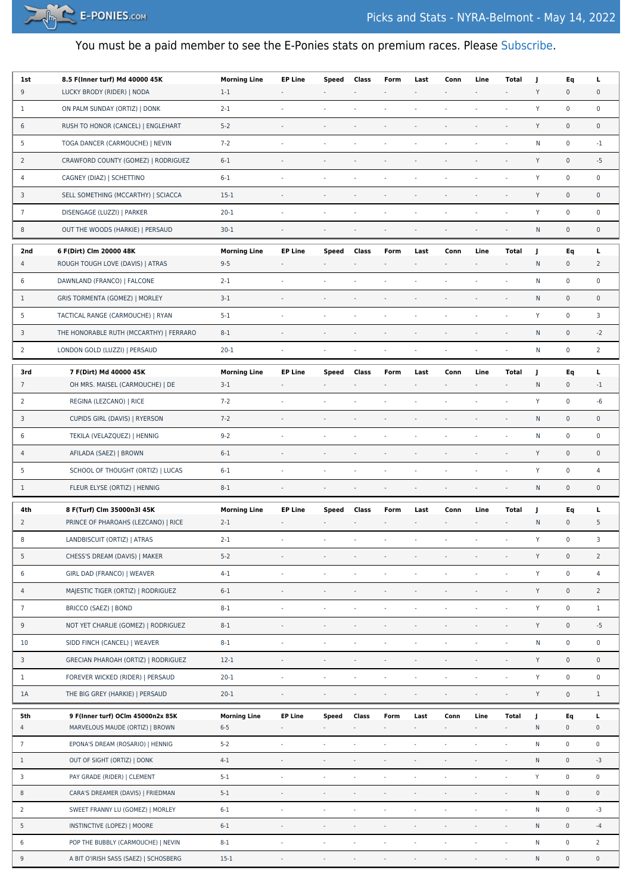

## You must be a paid member to see the E-Ponies stats on premium races. Please [Subscribe.](https://e-ponies.com/registration-and-subscription/)

| 1st             | 8.5 F(Inner turf) Md 40000 45K          | <b>Morning Line</b> | <b>EP Line</b>           | Speed                    | Class                    | Form                     | Last                     | Conn                     | Line                        | Total                    | J           | Eq                  | L                   |
|-----------------|-----------------------------------------|---------------------|--------------------------|--------------------------|--------------------------|--------------------------|--------------------------|--------------------------|-----------------------------|--------------------------|-------------|---------------------|---------------------|
| 9               | LUCKY BRODY (RIDER)   NODA              | $1-1$               |                          |                          |                          |                          |                          |                          | $\overline{\phantom{a}}$    | ÷,                       | Y           | $\bf{0}$            | 0                   |
| 1               | ON PALM SUNDAY (ORTIZ)   DONK           | $2 - 1$             | $\sim$                   |                          |                          | $\sim$                   | ×,                       |                          | ÷,                          | $\sim$                   | Y           | $\mathbf 0$         | 0                   |
| 6               | RUSH TO HONOR (CANCEL)   ENGLEHART      | $5 - 2$             | $\sim$                   | $\sim$                   |                          |                          | $\overline{\phantom{a}}$ |                          | $\overline{\phantom{a}}$    | $\overline{\phantom{a}}$ | Y           | $\mathbf 0$         | $\pmb{0}$           |
| 5               | TOGA DANCER (CARMOUCHE)   NEVIN         | $7 - 2$             | $\sim$                   |                          | $\overline{\phantom{a}}$ | $\sim$                   |                          |                          |                             | $\overline{\phantom{a}}$ | N           | $\pmb{0}$           | $-1$                |
| 2               | CRAWFORD COUNTY (GOMEZ)   RODRIGUEZ     | $6 - 1$             |                          |                          |                          |                          |                          |                          |                             |                          | Y           | $\pmb{0}$           | $-5$                |
| 4               | CAGNEY (DIAZ)   SCHETTINO               | $6 - 1$             | $\sim$                   | $\sim$                   |                          | $\sim$                   |                          |                          |                             | ä,                       | Y           | $\mathsf 0$         | 0                   |
| 3               | SELL SOMETHING (MCCARTHY)   SCIACCA     | $15-1$              | $\overline{\phantom{a}}$ |                          |                          |                          |                          |                          |                             | $\overline{\phantom{a}}$ | Y           | $\pmb{0}$           | $\pmb{0}$           |
| $\overline{7}$  | DISENGAGE (LUZZI)   PARKER              | $20 - 1$            |                          |                          |                          |                          |                          |                          |                             |                          | Y           | $\mathbf 0$         | 0                   |
| 8               | OUT THE WOODS (HARKIE)   PERSAUD        | $30-1$              |                          |                          |                          |                          |                          |                          |                             | $\sim$                   | ${\sf N}$   | $\mathbf 0$         | $\pmb{0}$           |
| 2nd             | 6 F(Dirt) Clm 20000 48K                 | <b>Morning Line</b> | <b>EP Line</b>           | Speed                    | Class                    | Form                     | Last                     | Conn                     | Line                        | Total                    | J           | Eq                  | L                   |
| 4               | ROUGH TOUGH LOVE (DAVIS)   ATRAS        | $9 - 5$             | $\overline{\phantom{a}}$ | $\overline{\phantom{a}}$ | $\overline{\phantom{a}}$ | $\overline{\phantom{a}}$ | $\overline{\phantom{a}}$ | $\overline{\phantom{a}}$ | $\overline{\phantom{a}}$    | $\overline{\phantom{a}}$ | N           | $\bf{0}$            | 2                   |
| 6               | DAWNLAND (FRANCO)   FALCONE             | $2 - 1$             | $\sim$                   | $\sim$                   | $\sim$                   | $\sim$                   | $\sim$                   | ÷.                       | ä,                          | $\sim$                   | N           | $\pmb{0}$           | 0                   |
| $\mathbf{1}$    | <b>GRIS TORMENTA (GOMEZ)   MORLEY</b>   | $3-1$               | $\overline{\phantom{a}}$ |                          |                          |                          |                          |                          |                             | $\overline{\phantom{a}}$ | N           | $\mathsf{O}\xspace$ | $\pmb{0}$           |
| 5               | TACTICAL RANGE (CARMOUCHE)   RYAN       | $5 - 1$             | $\sim$                   | $\sim$                   | $\sim$                   | $\sim$                   | ×,                       | $\bar{a}$                | ÷.                          | $\sim$                   | Y           | $\mathbf 0$         | 3                   |
| 3               | THE HONORABLE RUTH (MCCARTHY)   FERRARO | $8 - 1$             |                          |                          |                          |                          |                          |                          |                             |                          | N           | $\pmb{0}$           | $-2$                |
| 2               | LONDON GOLD (LUZZI)   PERSAUD           | $20 - 1$            |                          |                          |                          | $\sim$                   |                          |                          |                             | ä,                       | N           | $\mathbf 0$         | $\overline{2}$      |
| 3rd             | 7 F(Dirt) Md 40000 45K                  | <b>Morning Line</b> | <b>EP Line</b>           | Speed                    | Class                    | Form                     | Last                     | Conn                     | Line                        | Total                    | J           | Eq                  | L                   |
| $\overline{7}$  | OH MRS. MAISEL (CARMOUCHE)   DE         | $3-1$               |                          |                          |                          |                          |                          |                          | $\blacksquare$              | $\overline{\phantom{a}}$ | N           | $\bf{0}$            | $-1$                |
| 2               | REGINA (LEZCANO)   RICE                 | $7 - 2$             |                          |                          |                          |                          |                          |                          |                             | ä,                       | Y           | $\mathbf 0$         | -6                  |
| 3               | CUPIDS GIRL (DAVIS)   RYERSON           | $7 - 2$             | $\sim$                   | $\overline{\phantom{a}}$ | $\overline{\phantom{a}}$ |                          | $\overline{\phantom{a}}$ |                          | ÷,                          | $\blacksquare$           | N           | $\pmb{0}$           | 0                   |
| 6               | TEKILA (VELAZQUEZ)   HENNIG             | $9 - 2$             | $\sim$                   | $\overline{\phantom{a}}$ | $\sim$                   | $\sim$                   | ×,                       | $\bar{a}$                |                             | $\sim$                   | N           | $\pmb{0}$           | 0                   |
| 4               | AFILADA (SAEZ)   BROWN                  | $6 - 1$             |                          |                          |                          |                          |                          |                          |                             |                          | Y           | $\pmb{0}$           | 0                   |
| 5               | SCHOOL OF THOUGHT (ORTIZ)   LUCAS       | $6 - 1$             | $\bar{z}$                | $\overline{\phantom{a}}$ | $\overline{\phantom{a}}$ | $\overline{\phantom{a}}$ | ÷,                       | $\bar{a}$                | ä,                          | $\overline{\phantom{a}}$ | Y           | $\mathbf 0$         | 4                   |
| $\mathbf{1}$    | FLEUR ELYSE (ORTIZ)   HENNIG            | $8 - 1$             | $\sim$                   | $\overline{\phantom{a}}$ | $\overline{\phantom{a}}$ | $\sim$                   | $\overline{\phantom{a}}$ | $\overline{\phantom{a}}$ | $\overline{\phantom{a}}$    | $\overline{\phantom{a}}$ | ${\sf N}$   | $\mathsf{O}\xspace$ | $\pmb{0}$           |
| 4th             | 8 F(Turf) Clm 35000n3l 45K              | <b>Morning Line</b> | <b>EP Line</b>           | Speed                    | Class                    | Form                     | Last                     | Conn                     | Line                        | Total                    | J.          | Eq                  | L                   |
| $\overline{2}$  | PRINCE OF PHAROAHS (LEZCANO)   RICE     | $2 - 1$             |                          |                          |                          |                          |                          |                          |                             | $\overline{\phantom{a}}$ | N           | $\mathbf 0$         | 5                   |
| 8               | LANDBISCUIT (ORTIZ)   ATRAS             | $2 - 1$             |                          |                          |                          |                          |                          |                          |                             | ä,                       | Y           | $\pmb{0}$           | 3                   |
| 5               | CHESS'S DREAM (DAVIS)   MAKER           | $5 - 2$             |                          |                          |                          |                          |                          |                          |                             | $\overline{\phantom{a}}$ | Y           | $\pmb{0}$           | $\overline{2}$      |
| 6               | GIRL DAD (FRANCO)   WEAVER              | $4 - 1$             | $\omega$                 | $\sim$                   | ÷                        | $\sim$                   | $\sim$                   | ÷,                       | ÷,                          | ÷,                       | Y           | $\pmb{0}$           | $\overline{4}$      |
| 4               | MAJESTIC TIGER (ORTIZ)   RODRIGUEZ      | $6 - 1$             | $\overline{\phantom{a}}$ | $\overline{\phantom{a}}$ | $\overline{\phantom{a}}$ | $\overline{\phantom{a}}$ | $\overline{\phantom{a}}$ | $\overline{\phantom{a}}$ | $\blacksquare$              | $\overline{\phantom{a}}$ | $\mathsf Y$ | $\pmb{0}$           | $\overline{2}$      |
| $7\overline{ }$ | BRICCO (SAEZ)   BOND                    | $8 - 1$             | $\overline{\phantom{a}}$ | $\overline{\phantom{a}}$ | $\sim$                   | $\bar{\phantom{a}}$      | ä,                       | ä,                       | ł,                          | $\Box$                   | Y           | $\pmb{0}$           | $\mathbf{1}$        |
| 9               | NOT YET CHARLIE (GOMEZ)   RODRIGUEZ     | $8 - 1$             | $\overline{\phantom{a}}$ | $\sim$                   |                          |                          | $\sim$                   |                          |                             | ÷,                       | Y           | $\pmb{0}$           | $-5$                |
| 10              | SIDD FINCH (CANCEL)   WEAVER            | $8 - 1$             | $\sim$                   | ÷,                       | $\sim$                   | $\bar{\phantom{a}}$      | $\sim$                   | ä,                       | ä,                          | $\Box$                   | ${\sf N}$   | $\pmb{0}$           | $\pmb{0}$           |
| 3               | GRECIAN PHAROAH (ORTIZ)   RODRIGUEZ     | $12-1$              | $\overline{\phantom{a}}$ | $\overline{\phantom{a}}$ | $\overline{\phantom{a}}$ | $\bar{ }$                | $\bar{ }$                | $\blacksquare$           | $\blacksquare$              | $\Box$                   | Y           | $\pmb{0}$           | $\pmb{0}$           |
| $\mathbf{1}$    | FOREVER WICKED (RIDER)   PERSAUD        | $20 - 1$            | $\sim$                   | $\omega$                 | $\sim$                   | $\sim$                   | $\omega$                 | ÷.                       | ÷,                          | ä,                       | Y           | $\pmb{0}$           | $\pmb{0}$           |
| 1A              | THE BIG GREY (HARKIE)   PERSAUD         | $20 - 1$            | $\sim$                   | $\sim$                   | $\sim$                   | $\sim$                   |                          |                          |                             | ä,                       | Y           | $\pmb{0}$           | $\mathbf{1}$        |
| 5th             | 9 F(Inner turf) OCIm 45000n2x 85K       | <b>Morning Line</b> | <b>EP Line</b>           | Speed                    | Class                    | Form                     | Last                     | Conn                     | Line                        | Total                    | J           | Eq                  | L                   |
| 4               | MARVELOUS MAUDE (ORTIZ)   BROWN         | $6 - 5$             | ÷                        | $\overline{\phantom{a}}$ | $\overline{\phantom{a}}$ | $\bar{a}$                | à.                       | ä,                       | $\mathcal{L}_{\mathcal{A}}$ | ÷,                       | ${\sf N}$   | $\mathbf 0$         | $\pmb{0}$           |
| $7\overline{ }$ | EPONA'S DREAM (ROSARIO)   HENNIG        | $5 - 2$             | $\sim$                   | ÷.                       | ÷.                       | $\sim$                   | ÷.                       | ä,                       | $\omega$                    | $\sim$                   | ${\sf N}$   | $\mathbf 0$         | $\mathsf{O}\xspace$ |
| $\mathbf{1}$    | OUT OF SIGHT (ORTIZ)   DONK             | $4 - 1$             | $\overline{\phantom{a}}$ | $\overline{\phantom{a}}$ | $\overline{\phantom{a}}$ | $\overline{\phantom{a}}$ | $\overline{\phantom{a}}$ | ł,                       | ÷,                          | ÷,                       | ${\sf N}$   | $\mathsf{O}\xspace$ | $-3$                |
| 3               | PAY GRADE (RIDER)   CLEMENT             | $5-1$               | $\omega$                 | $\overline{\phantom{a}}$ | ä,                       | ×.                       | ä,                       | ä,                       | ä,                          | ÷,                       | Y           | $\mathsf{O}\xspace$ | $\mathsf 0$         |
| 8               | CARA'S DREAMER (DAVIS)   FRIEDMAN       | $5-1$               | $\overline{\phantom{a}}$ | $\overline{\phantom{a}}$ | $\overline{\phantom{a}}$ | $\overline{\phantom{a}}$ | $\overline{\phantom{a}}$ | ×,                       | ä,                          | ÷,                       | ${\sf N}$   | $\mathsf{O}\xspace$ | $\mathsf{O}\xspace$ |
| $\overline{2}$  | SWEET FRANNY LU (GOMEZ)   MORLEY        | $6 - 1$             | $\overline{\phantom{a}}$ | ÷,                       | $\blacksquare$           | ÷,                       | ä,                       | ÷                        | ÷,                          | ÷,                       | ${\sf N}$   | $\mathsf{O}\xspace$ | $-3$                |
| 5               | INSTINCTIVE (LOPEZ)   MOORE             | $6 - 1$             | $\overline{\phantom{a}}$ | $\overline{\phantom{a}}$ | $\blacksquare$           | $\overline{\phantom{a}}$ | $\overline{\phantom{a}}$ | ä,                       | ä,                          | $\overline{\phantom{a}}$ | ${\sf N}$   | $\mathsf{O}\xspace$ | $-4$                |
| 6               | POP THE BUBBLY (CARMOUCHE)   NEVIN      | $8 - 1$             | $\omega$                 | $\overline{\phantom{a}}$ | ä,                       | ä,                       | ÷,                       | ä,                       | ä,                          | J.                       | ${\sf N}$   | $\pmb{0}$           | $\overline{2}$      |
| 9               | A BIT O'IRISH SASS (SAEZ)   SCHOSBERG   | $15-1$              | $\sim$                   | $\overline{\phantom{a}}$ | $\overline{\phantom{a}}$ | $\sim$                   | $\overline{\phantom{a}}$ | $\overline{\phantom{a}}$ | $\overline{\phantom{a}}$    | $\overline{\phantom{a}}$ | ${\sf N}$   | $\mathsf{O}\xspace$ | $\mathsf{O}\xspace$ |